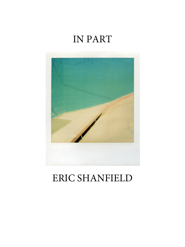

## ERIC SHANFIELD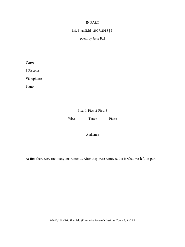Eric Shanfield | 2007/2013 | 5'

poem by Jesse Ball

Tenor

3 Piccolos

Vibraphone

Piano

Picc. 1 Picc. 2 Picc. 3

Vibes Tenor Piano

Audience

At first there were too many instruments. After they were removed this is what was left, in part.

©2007/2013 Eric Shanfield (Enterprise Research Institute Council, ASCAP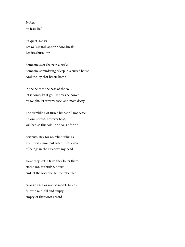*In Part* by Jesse Ball

Sit quiet. Lie still. Let walls stand, and windows break. Let fires burn low.

Someone's set chairs in a circle. Someone's wandering asleep in a cursed house. And the joy that has its home

in the belly at the base of the soul, let it come, let it go. Let trees be bowed by weight, let streams race, and moss decay.

The trembling of furred limbs will not cease no one's word, however bold, will banish this cold. And so, sit for no

portraits, stay for no relinquishings. There was a moment when I was aware of beings in the air above my head.

Have they left? Or do they loiter there, attendant, faithful? Sit quiet, and let the water be, let the false face

arrange itself or not, as marble basins fill with rain, fill and empty, empty of their own accord.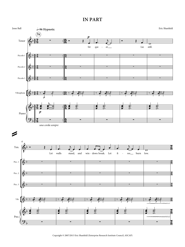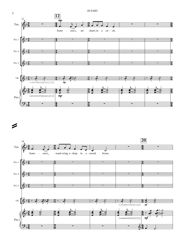



=

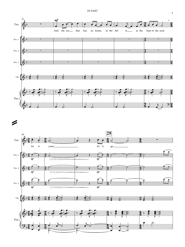



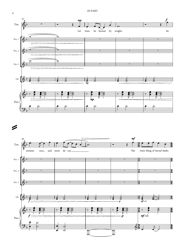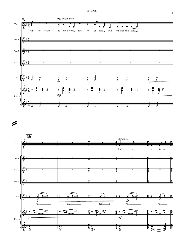



=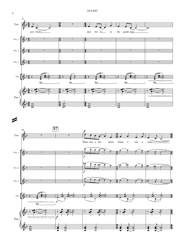



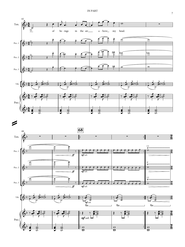

œ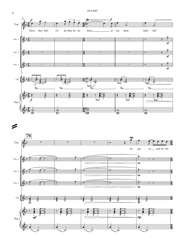

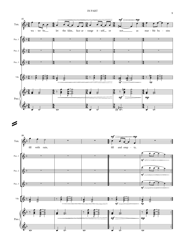